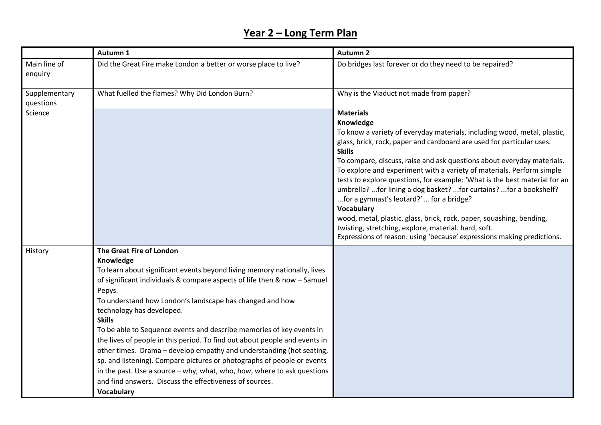## **Year 2 – Long Term Plan**

|                            | Autumn 1                                                                                                                                                                                                                                                                                                                                                                                                                                                                                                                                                                                                                                                                                                                                                                              | <b>Autumn 2</b>                                                                                                                                                                                                                                                                                                                                                                                                                                                                                                                                                                                                                                                                                                                                                                      |
|----------------------------|---------------------------------------------------------------------------------------------------------------------------------------------------------------------------------------------------------------------------------------------------------------------------------------------------------------------------------------------------------------------------------------------------------------------------------------------------------------------------------------------------------------------------------------------------------------------------------------------------------------------------------------------------------------------------------------------------------------------------------------------------------------------------------------|--------------------------------------------------------------------------------------------------------------------------------------------------------------------------------------------------------------------------------------------------------------------------------------------------------------------------------------------------------------------------------------------------------------------------------------------------------------------------------------------------------------------------------------------------------------------------------------------------------------------------------------------------------------------------------------------------------------------------------------------------------------------------------------|
| Main line of<br>enquiry    | Did the Great Fire make London a better or worse place to live?                                                                                                                                                                                                                                                                                                                                                                                                                                                                                                                                                                                                                                                                                                                       | Do bridges last forever or do they need to be repaired?                                                                                                                                                                                                                                                                                                                                                                                                                                                                                                                                                                                                                                                                                                                              |
| Supplementary<br>questions | What fuelled the flames? Why Did London Burn?                                                                                                                                                                                                                                                                                                                                                                                                                                                                                                                                                                                                                                                                                                                                         | Why is the Viaduct not made from paper?                                                                                                                                                                                                                                                                                                                                                                                                                                                                                                                                                                                                                                                                                                                                              |
| Science                    |                                                                                                                                                                                                                                                                                                                                                                                                                                                                                                                                                                                                                                                                                                                                                                                       | <b>Materials</b><br>Knowledge<br>To know a variety of everyday materials, including wood, metal, plastic,<br>glass, brick, rock, paper and cardboard are used for particular uses.<br><b>Skills</b><br>To compare, discuss, raise and ask questions about everyday materials.<br>To explore and experiment with a variety of materials. Perform simple<br>tests to explore questions, for example: 'What is the best material for an<br>umbrella? for lining a dog basket? for curtains? for a bookshelf?<br>for a gymnast's leotard?'  for a bridge?<br><b>Vocabulary</b><br>wood, metal, plastic, glass, brick, rock, paper, squashing, bending,<br>twisting, stretching, explore, material. hard, soft.<br>Expressions of reason: using 'because' expressions making predictions. |
| History                    | The Great Fire of London<br>Knowledge<br>To learn about significant events beyond living memory nationally, lives<br>of significant individuals & compare aspects of life then & now - Samuel<br>Pepys.<br>To understand how London's landscape has changed and how<br>technology has developed.<br><b>Skills</b><br>To be able to Sequence events and describe memories of key events in<br>the lives of people in this period. To find out about people and events in<br>other times. Drama - develop empathy and understanding (hot seating,<br>sp. and listening). Compare pictures or photographs of people or events<br>in the past. Use a source - why, what, who, how, where to ask questions<br>and find answers. Discuss the effectiveness of sources.<br><b>Vocabulary</b> |                                                                                                                                                                                                                                                                                                                                                                                                                                                                                                                                                                                                                                                                                                                                                                                      |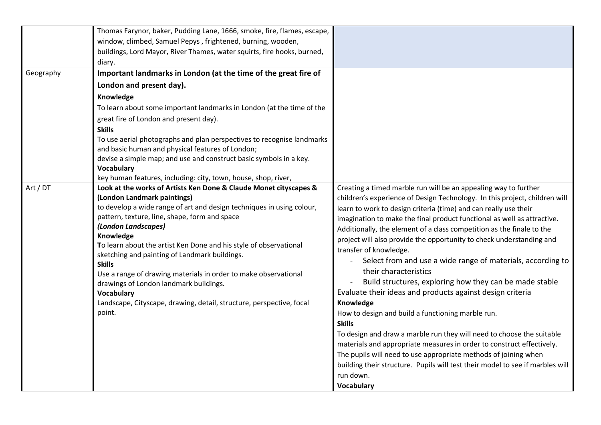|           | Thomas Farynor, baker, Pudding Lane, 1666, smoke, fire, flames, escape,<br>window, climbed, Samuel Pepys, frightened, burning, wooden,<br>buildings, Lord Mayor, River Thames, water squirts, fire hooks, burned,<br>diary.                                                                                                                                                                                                                                                                                                                                                                                               |                                                                                                                                                                                                                                                                                                                                                                                                                                                                                                                                                                                                                                                                                                                                                                                                                                                                                                                                                                                                                                                                                                                    |
|-----------|---------------------------------------------------------------------------------------------------------------------------------------------------------------------------------------------------------------------------------------------------------------------------------------------------------------------------------------------------------------------------------------------------------------------------------------------------------------------------------------------------------------------------------------------------------------------------------------------------------------------------|--------------------------------------------------------------------------------------------------------------------------------------------------------------------------------------------------------------------------------------------------------------------------------------------------------------------------------------------------------------------------------------------------------------------------------------------------------------------------------------------------------------------------------------------------------------------------------------------------------------------------------------------------------------------------------------------------------------------------------------------------------------------------------------------------------------------------------------------------------------------------------------------------------------------------------------------------------------------------------------------------------------------------------------------------------------------------------------------------------------------|
| Geography | Important landmarks in London (at the time of the great fire of                                                                                                                                                                                                                                                                                                                                                                                                                                                                                                                                                           |                                                                                                                                                                                                                                                                                                                                                                                                                                                                                                                                                                                                                                                                                                                                                                                                                                                                                                                                                                                                                                                                                                                    |
|           | London and present day).                                                                                                                                                                                                                                                                                                                                                                                                                                                                                                                                                                                                  |                                                                                                                                                                                                                                                                                                                                                                                                                                                                                                                                                                                                                                                                                                                                                                                                                                                                                                                                                                                                                                                                                                                    |
|           | Knowledge                                                                                                                                                                                                                                                                                                                                                                                                                                                                                                                                                                                                                 |                                                                                                                                                                                                                                                                                                                                                                                                                                                                                                                                                                                                                                                                                                                                                                                                                                                                                                                                                                                                                                                                                                                    |
|           | To learn about some important landmarks in London (at the time of the                                                                                                                                                                                                                                                                                                                                                                                                                                                                                                                                                     |                                                                                                                                                                                                                                                                                                                                                                                                                                                                                                                                                                                                                                                                                                                                                                                                                                                                                                                                                                                                                                                                                                                    |
|           | great fire of London and present day).                                                                                                                                                                                                                                                                                                                                                                                                                                                                                                                                                                                    |                                                                                                                                                                                                                                                                                                                                                                                                                                                                                                                                                                                                                                                                                                                                                                                                                                                                                                                                                                                                                                                                                                                    |
|           | <b>Skills</b>                                                                                                                                                                                                                                                                                                                                                                                                                                                                                                                                                                                                             |                                                                                                                                                                                                                                                                                                                                                                                                                                                                                                                                                                                                                                                                                                                                                                                                                                                                                                                                                                                                                                                                                                                    |
|           | To use aerial photographs and plan perspectives to recognise landmarks<br>and basic human and physical features of London;                                                                                                                                                                                                                                                                                                                                                                                                                                                                                                |                                                                                                                                                                                                                                                                                                                                                                                                                                                                                                                                                                                                                                                                                                                                                                                                                                                                                                                                                                                                                                                                                                                    |
|           | devise a simple map; and use and construct basic symbols in a key.                                                                                                                                                                                                                                                                                                                                                                                                                                                                                                                                                        |                                                                                                                                                                                                                                                                                                                                                                                                                                                                                                                                                                                                                                                                                                                                                                                                                                                                                                                                                                                                                                                                                                                    |
|           | <b>Vocabulary</b>                                                                                                                                                                                                                                                                                                                                                                                                                                                                                                                                                                                                         |                                                                                                                                                                                                                                                                                                                                                                                                                                                                                                                                                                                                                                                                                                                                                                                                                                                                                                                                                                                                                                                                                                                    |
|           | key human features, including: city, town, house, shop, river,                                                                                                                                                                                                                                                                                                                                                                                                                                                                                                                                                            |                                                                                                                                                                                                                                                                                                                                                                                                                                                                                                                                                                                                                                                                                                                                                                                                                                                                                                                                                                                                                                                                                                                    |
| Art / DT  | Look at the works of Artists Ken Done & Claude Monet cityscapes &<br>(London Landmark paintings)<br>to develop a wide range of art and design techniques in using colour,<br>pattern, texture, line, shape, form and space<br>(London Landscapes)<br>Knowledge<br>To learn about the artist Ken Done and his style of observational<br>sketching and painting of Landmark buildings.<br><b>Skills</b><br>Use a range of drawing materials in order to make observational<br>drawings of London landmark buildings.<br><b>Vocabulary</b><br>Landscape, Cityscape, drawing, detail, structure, perspective, focal<br>point. | Creating a timed marble run will be an appealing way to further<br>children's experience of Design Technology. In this project, children will<br>learn to work to design criteria (time) and can really use their<br>imagination to make the final product functional as well as attractive.<br>Additionally, the element of a class competition as the finale to the<br>project will also provide the opportunity to check understanding and<br>transfer of knowledge.<br>Select from and use a wide range of materials, according to<br>their characteristics<br>Build structures, exploring how they can be made stable<br>Evaluate their ideas and products against design criteria<br>Knowledge<br>How to design and build a functioning marble run.<br><b>Skills</b><br>To design and draw a marble run they will need to choose the suitable<br>materials and appropriate measures in order to construct effectively.<br>The pupils will need to use appropriate methods of joining when<br>building their structure. Pupils will test their model to see if marbles will<br>run down.<br><b>Vocabulary</b> |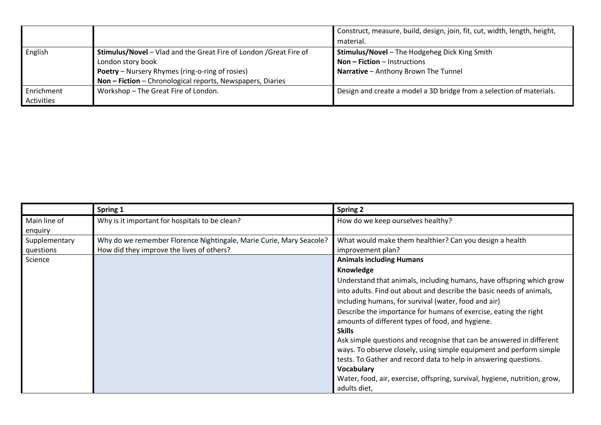|            |                                                                    | Construct, measure, build, design, join, fit, cut, width, length, height, |
|------------|--------------------------------------------------------------------|---------------------------------------------------------------------------|
|            |                                                                    | material.                                                                 |
| English    | Stimulus/Novel - Vlad and the Great Fire of London / Great Fire of | <b>Stimulus/Novel</b> - The Hodgeheg Dick King Smith                      |
|            | London story book                                                  | <b>Non – Fiction – Instructions</b>                                       |
|            | <b>Poetry</b> – Nursery Rhymes (ring-o-ring of rosies)             | Narrative - Anthony Brown The Tunnel                                      |
|            | Non - Fiction - Chronological reports, Newspapers, Diaries         |                                                                           |
| Enrichment | Workshop - The Great Fire of London.                               | Design and create a model a 3D bridge from a selection of materials.      |
| Activities |                                                                    |                                                                           |

|               | Spring 1                                                            | <b>Spring 2</b>                                                            |
|---------------|---------------------------------------------------------------------|----------------------------------------------------------------------------|
| Main line of  | Why is it important for hospitals to be clean?                      | How do we keep ourselves healthy?                                          |
| enquiry       |                                                                     |                                                                            |
| Supplementary | Why do we remember Florence Nightingale, Marie Curie, Mary Seacole? | What would make them healthier? Can you design a health                    |
| questions     | How did they improve the lives of others?                           | improvement plan?                                                          |
| Science       |                                                                     | <b>Animals including Humans</b>                                            |
|               |                                                                     | Knowledge                                                                  |
|               |                                                                     | Understand that animals, including humans, have offspring which grow       |
|               |                                                                     | into adults. Find out about and describe the basic needs of animals,       |
|               |                                                                     | including humans, for survival (water, food and air)                       |
|               |                                                                     | Describe the importance for humans of exercise, eating the right           |
|               |                                                                     | amounts of different types of food, and hygiene.                           |
|               |                                                                     | <b>Skills</b>                                                              |
|               |                                                                     | Ask simple questions and recognise that can be answered in different       |
|               |                                                                     | ways. To observe closely, using simple equipment and perform simple        |
|               |                                                                     | tests. To Gather and record data to help in answering questions.           |
|               |                                                                     | <b>Vocabulary</b>                                                          |
|               |                                                                     | Water, food, air, exercise, offspring, survival, hygiene, nutrition, grow, |
|               |                                                                     | adults diet,                                                               |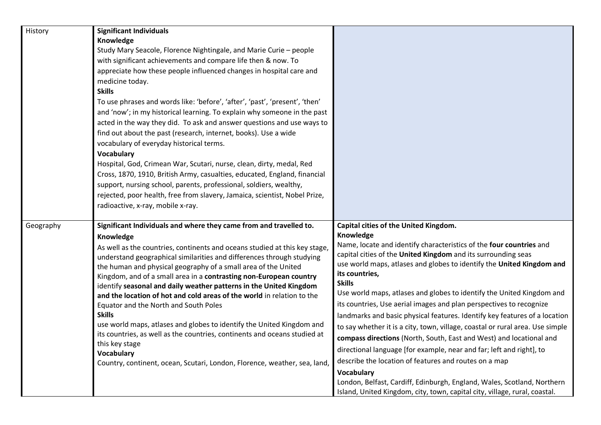| History   | <b>Significant Individuals</b><br>Knowledge<br>Study Mary Seacole, Florence Nightingale, and Marie Curie - people<br>with significant achievements and compare life then & now. To<br>appreciate how these people influenced changes in hospital care and<br>medicine today.<br><b>Skills</b><br>To use phrases and words like: 'before', 'after', 'past', 'present', 'then'<br>and 'now'; in my historical learning. To explain why someone in the past<br>acted in the way they did. To ask and answer questions and use ways to<br>find out about the past (research, internet, books). Use a wide<br>vocabulary of everyday historical terms.<br><b>Vocabulary</b><br>Hospital, God, Crimean War, Scutari, nurse, clean, dirty, medal, Red<br>Cross, 1870, 1910, British Army, casualties, educated, England, financial<br>support, nursing school, parents, professional, soldiers, wealthy,<br>rejected, poor health, free from slavery, Jamaica, scientist, Nobel Prize,<br>radioactive, x-ray, mobile x-ray. |                                                                                                                                                                                                                                                                                                                                                                                                                                                                                                                                                                                                                                                                                                                                                                                                                                                                                                                                                                                                             |
|-----------|----------------------------------------------------------------------------------------------------------------------------------------------------------------------------------------------------------------------------------------------------------------------------------------------------------------------------------------------------------------------------------------------------------------------------------------------------------------------------------------------------------------------------------------------------------------------------------------------------------------------------------------------------------------------------------------------------------------------------------------------------------------------------------------------------------------------------------------------------------------------------------------------------------------------------------------------------------------------------------------------------------------------|-------------------------------------------------------------------------------------------------------------------------------------------------------------------------------------------------------------------------------------------------------------------------------------------------------------------------------------------------------------------------------------------------------------------------------------------------------------------------------------------------------------------------------------------------------------------------------------------------------------------------------------------------------------------------------------------------------------------------------------------------------------------------------------------------------------------------------------------------------------------------------------------------------------------------------------------------------------------------------------------------------------|
| Geography | Significant Individuals and where they came from and travelled to.<br>Knowledge<br>As well as the countries, continents and oceans studied at this key stage,<br>understand geographical similarities and differences through studying<br>the human and physical geography of a small area of the United<br>Kingdom, and of a small area in a contrasting non-European country<br>identify seasonal and daily weather patterns in the United Kingdom<br>and the location of hot and cold areas of the world in relation to the<br>Equator and the North and South Poles<br><b>Skills</b><br>use world maps, atlases and globes to identify the United Kingdom and<br>its countries, as well as the countries, continents and oceans studied at<br>this key stage<br><b>Vocabulary</b><br>Country, continent, ocean, Scutari, London, Florence, weather, sea, land,                                                                                                                                                   | Capital cities of the United Kingdom.<br>Knowledge<br>Name, locate and identify characteristics of the four countries and<br>capital cities of the United Kingdom and its surrounding seas<br>use world maps, atlases and globes to identify the United Kingdom and<br>its countries,<br><b>Skills</b><br>Use world maps, atlases and globes to identify the United Kingdom and<br>its countries, Use aerial images and plan perspectives to recognize<br>landmarks and basic physical features. Identify key features of a location<br>to say whether it is a city, town, village, coastal or rural area. Use simple<br>compass directions (North, South, East and West) and locational and<br>directional language [for example, near and far; left and right], to<br>describe the location of features and routes on a map<br><b>Vocabulary</b><br>London, Belfast, Cardiff, Edinburgh, England, Wales, Scotland, Northern<br>Island, United Kingdom, city, town, capital city, village, rural, coastal. |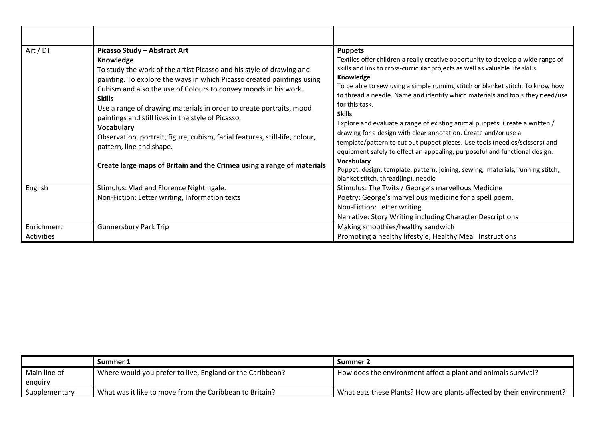| Art / DT                 | Picasso Study - Abstract Art<br>Knowledge<br>To study the work of the artist Picasso and his style of drawing and<br>painting. To explore the ways in which Picasso created paintings using<br>Cubism and also the use of Colours to convey moods in his work.<br><b>Skills</b><br>Use a range of drawing materials in order to create portraits, mood<br>paintings and still lives in the style of Picasso.<br><b>Vocabulary</b><br>Observation, portrait, figure, cubism, facial features, still-life, colour,<br>pattern, line and shape.<br>Create large maps of Britain and the Crimea using a range of materials | <b>Puppets</b><br>Textiles offer children a really creative opportunity to develop a wide range of<br>skills and link to cross-curricular projects as well as valuable life skills.<br>Knowledge<br>To be able to sew using a simple running stitch or blanket stitch. To know how<br>to thread a needle. Name and identify which materials and tools they need/use<br>for this task.<br><b>Skills</b><br>Explore and evaluate a range of existing animal puppets. Create a written /<br>drawing for a design with clear annotation. Create and/or use a<br>template/pattern to cut out puppet pieces. Use tools (needles/scissors) and<br>equipment safely to effect an appealing, purposeful and functional design.<br>Vocabulary |
|--------------------------|------------------------------------------------------------------------------------------------------------------------------------------------------------------------------------------------------------------------------------------------------------------------------------------------------------------------------------------------------------------------------------------------------------------------------------------------------------------------------------------------------------------------------------------------------------------------------------------------------------------------|-------------------------------------------------------------------------------------------------------------------------------------------------------------------------------------------------------------------------------------------------------------------------------------------------------------------------------------------------------------------------------------------------------------------------------------------------------------------------------------------------------------------------------------------------------------------------------------------------------------------------------------------------------------------------------------------------------------------------------------|
|                          |                                                                                                                                                                                                                                                                                                                                                                                                                                                                                                                                                                                                                        | Puppet, design, template, pattern, joining, sewing, materials, running stitch,<br>blanket stitch, thread(ing), needle                                                                                                                                                                                                                                                                                                                                                                                                                                                                                                                                                                                                               |
| English                  | Stimulus: Vlad and Florence Nightingale.<br>Non-Fiction: Letter writing, Information texts                                                                                                                                                                                                                                                                                                                                                                                                                                                                                                                             | Stimulus: The Twits / George's marvellous Medicine<br>Poetry: George's marvellous medicine for a spell poem.<br>Non-Fiction: Letter writing<br>Narrative: Story Writing including Character Descriptions                                                                                                                                                                                                                                                                                                                                                                                                                                                                                                                            |
| Enrichment<br>Activities | <b>Gunnersbury Park Trip</b>                                                                                                                                                                                                                                                                                                                                                                                                                                                                                                                                                                                           | Making smoothies/healthy sandwich<br>Promoting a healthy lifestyle, Healthy Meal Instructions                                                                                                                                                                                                                                                                                                                                                                                                                                                                                                                                                                                                                                       |

|               | Summer 1                                                  | Summer 2                                                              |
|---------------|-----------------------------------------------------------|-----------------------------------------------------------------------|
| Main line of  | Where would you prefer to live, England or the Caribbean? | How does the environment affect a plant and animals survival?         |
| enguiry       |                                                           |                                                                       |
| Supplementary | What was it like to move from the Caribbean to Britain?   | What eats these Plants? How are plants affected by their environment? |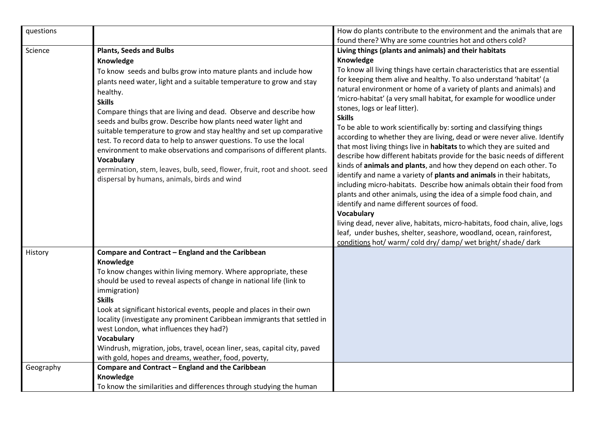| questions                            |                                                                                                                                                                                                                                                                                                                                                                                                                                                                                                                                                                                                    | How do plants contribute to the environment and the animals that are                                                                                                                                                                                                                                                                                                                                                                                                                                                                                                                                                                                                                                                                         |
|--------------------------------------|----------------------------------------------------------------------------------------------------------------------------------------------------------------------------------------------------------------------------------------------------------------------------------------------------------------------------------------------------------------------------------------------------------------------------------------------------------------------------------------------------------------------------------------------------------------------------------------------------|----------------------------------------------------------------------------------------------------------------------------------------------------------------------------------------------------------------------------------------------------------------------------------------------------------------------------------------------------------------------------------------------------------------------------------------------------------------------------------------------------------------------------------------------------------------------------------------------------------------------------------------------------------------------------------------------------------------------------------------------|
|                                      |                                                                                                                                                                                                                                                                                                                                                                                                                                                                                                                                                                                                    | found there? Why are some countries hot and others cold?                                                                                                                                                                                                                                                                                                                                                                                                                                                                                                                                                                                                                                                                                     |
| Science<br>healthy.<br><b>Skills</b> | <b>Plants, Seeds and Bulbs</b><br>Knowledge<br>To know seeds and bulbs grow into mature plants and include how<br>plants need water, light and a suitable temperature to grow and stay<br>Compare things that are living and dead. Observe and describe how<br>seeds and bulbs grow. Describe how plants need water light and<br>suitable temperature to grow and stay healthy and set up comparative<br>test. To record data to help to answer questions. To use the local                                                                                                                        | Living things (plants and animals) and their habitats<br>Knowledge<br>To know all living things have certain characteristics that are essential<br>for keeping them alive and healthy. To also understand 'habitat' (a<br>natural environment or home of a variety of plants and animals) and<br>'micro-habitat' (a very small habitat, for example for woodlice under<br>stones, logs or leaf litter).<br><b>Skills</b><br>To be able to work scientifically by: sorting and classifying things<br>according to whether they are living, dead or were never alive. Identify                                                                                                                                                                 |
|                                      | environment to make observations and comparisons of different plants.<br><b>Vocabulary</b><br>germination, stem, leaves, bulb, seed, flower, fruit, root and shoot. seed<br>dispersal by humans, animals, birds and wind                                                                                                                                                                                                                                                                                                                                                                           | that most living things live in habitats to which they are suited and<br>describe how different habitats provide for the basic needs of different<br>kinds of animals and plants, and how they depend on each other. To<br>identify and name a variety of plants and animals in their habitats,<br>including micro-habitats. Describe how animals obtain their food from<br>plants and other animals, using the idea of a simple food chain, and<br>identify and name different sources of food.<br><b>Vocabulary</b><br>living dead, never alive, habitats, micro-habitats, food chain, alive, logs<br>leaf, under bushes, shelter, seashore, woodland, ocean, rainforest,<br>conditions hot/ warm/ cold dry/ damp/ wet bright/ shade/ dark |
| History                              | Compare and Contract - England and the Caribbean<br>Knowledge<br>To know changes within living memory. Where appropriate, these<br>should be used to reveal aspects of change in national life (link to<br>immigration)<br><b>Skills</b><br>Look at significant historical events, people and places in their own<br>locality (investigate any prominent Caribbean immigrants that settled in<br>west London, what influences they had?)<br><b>Vocabulary</b><br>Windrush, migration, jobs, travel, ocean liner, seas, capital city, paved<br>with gold, hopes and dreams, weather, food, poverty, |                                                                                                                                                                                                                                                                                                                                                                                                                                                                                                                                                                                                                                                                                                                                              |
| Geography                            | Compare and Contract - England and the Caribbean<br>Knowledge<br>To know the similarities and differences through studying the human                                                                                                                                                                                                                                                                                                                                                                                                                                                               |                                                                                                                                                                                                                                                                                                                                                                                                                                                                                                                                                                                                                                                                                                                                              |